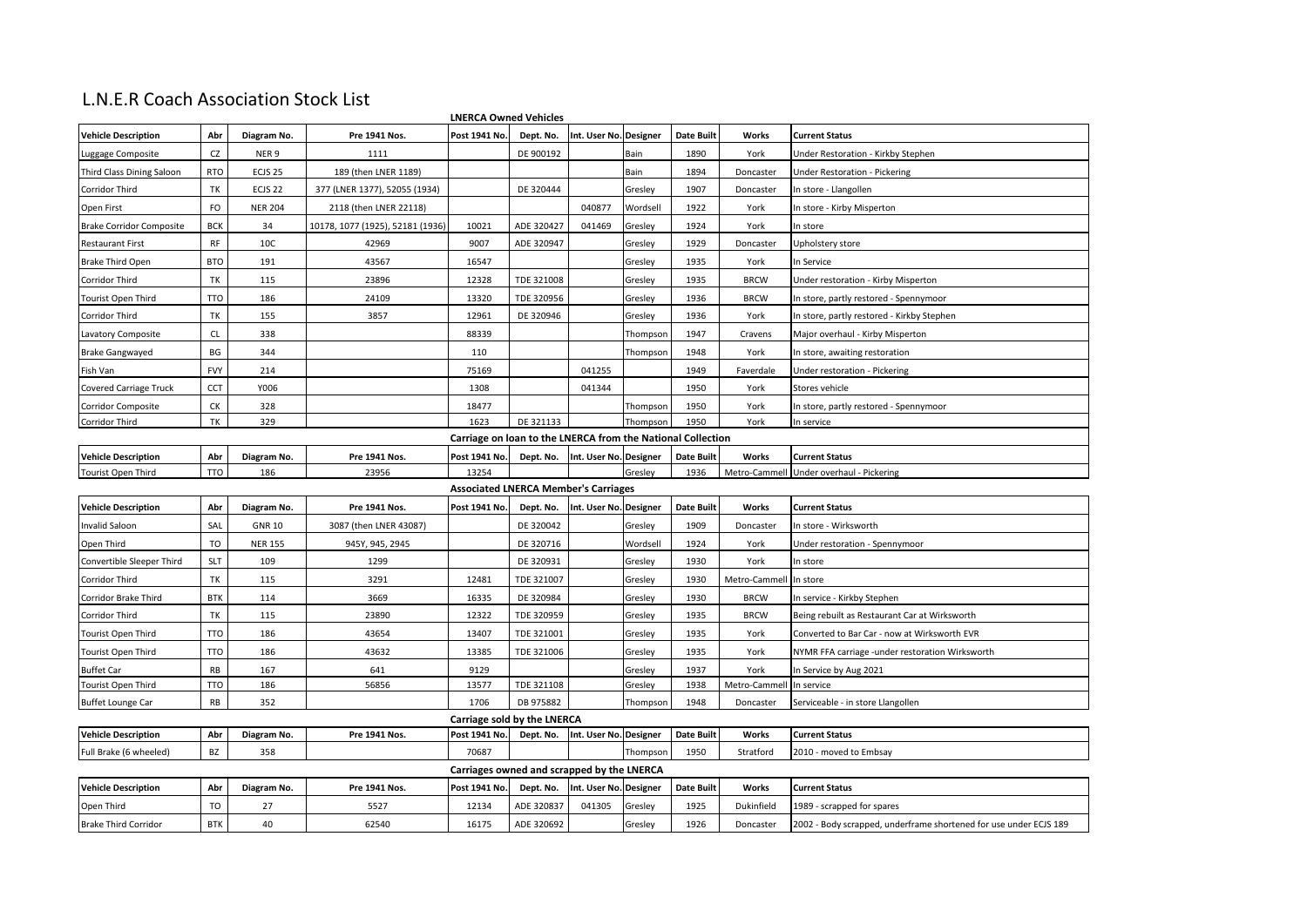## L.N.E.R Coach Association Stock List

| <b>LNERCA Owned Vehicles</b>                                |               |                    |                                  |                                             |            |                        |          |                   |               |                                                                   |
|-------------------------------------------------------------|---------------|--------------------|----------------------------------|---------------------------------------------|------------|------------------------|----------|-------------------|---------------|-------------------------------------------------------------------|
| <b>Vehicle Description</b>                                  | Abr           | Diagram No.        | Pre 1941 Nos.                    | Post 1941 No.                               | Dept. No.  | Int. User No. Designer |          | <b>Date Built</b> | Works         | <b>Current Status</b>                                             |
| Luggage Composite                                           | <b>CZ</b>     | NER <sub>9</sub>   | 1111                             |                                             | DE 900192  |                        | Bain     | 1890              | York          | Under Restoration - Kirkby Stephen                                |
| Third Class Dining Saloon                                   | <b>RTO</b>    | ECJS <sub>25</sub> | 189 (then LNER 1189)             |                                             |            |                        | Bain     | 1894              | Doncaster     | Under Restoration - Pickering                                     |
| Corridor Third                                              | TK            | ECJS <sub>22</sub> | 377 (LNER 1377), 52055 (1934)    |                                             | DE 320444  |                        | Gresley  | 1907              | Doncaster     | In store - Llangollen                                             |
| Open First                                                  | FO            | <b>NER 204</b>     | 2118 (then LNER 22118)           |                                             |            | 040877                 | Wordsell | 1922              | York          | In store - Kirby Misperton                                        |
| <b>Brake Corridor Composite</b>                             | <b>BCK</b>    | 34                 | 10178, 1077 (1925), 52181 (1936) | 10021                                       | ADE 320427 | 041469                 | Gresley  | 1924              | York          | In store                                                          |
| <b>Restaurant First</b>                                     | RF            | 10C                | 42969                            | 9007                                        | ADE 320947 |                        | Gresley  | 1929              | Doncaster     | Jpholstery store                                                  |
| <b>Brake Third Open</b>                                     | <b>BTO</b>    | 191                | 43567                            | 16547                                       |            |                        | Gresley  | 1935              | York          | In Service                                                        |
| Corridor Third                                              | TK            | 115                | 23896                            | 12328                                       | TDE 321008 |                        | Gresley  | 1935              | <b>BRCW</b>   | Under restoration - Kirby Misperton                               |
| <b>Tourist Open Third</b>                                   | <b>TTO</b>    | 186                | 24109                            | 13320                                       | TDE 320956 |                        | Gresley  | 1936              | <b>BRCW</b>   | In store, partly restored - Spennymoor                            |
| Corridor Third                                              | TK            | 155                | 3857                             | 12961                                       | DE 320946  |                        | Gresley  | 1936              | York          | In store, partly restored - Kirkby Stephen                        |
| Lavatory Composite                                          | $\mathsf{CL}$ | 338                |                                  | 88339                                       |            |                        | Thompson | 1947              | Cravens       | Major overhaul - Kirby Misperton                                  |
| <b>Brake Gangwayed</b>                                      | BG            | 344                |                                  | 110                                         |            |                        | Thompson | 1948              | York          | In store, awaiting restoration                                    |
| Fish Van                                                    | <b>FVY</b>    | 214                |                                  | 75169                                       |            | 041255                 |          | 1949              | Faverdale     | Under restoration - Pickering                                     |
| <b>Covered Carriage Truck</b>                               | CCT           | Y006               |                                  | 1308                                        |            | 041344                 |          | 1950              | York          | Stores vehicle                                                    |
| Corridor Composite                                          | СK            | 328                |                                  | 18477                                       |            |                        | Thompson | 1950              | York          | In store, partly restored - Spennymoor                            |
| Corridor Third                                              | TK            | 329                |                                  | 1623                                        | DE 321133  |                        | Thompson | 1950              | York          | In service                                                        |
| Carriage on loan to the LNERCA from the National Collection |               |                    |                                  |                                             |            |                        |          |                   |               |                                                                   |
| <b>Vehicle Description</b>                                  | Abr           | Diagram No.        | Pre 1941 Nos.                    | Post 1941 No.                               | Dept. No.  | Int. User No. Designer |          | <b>Date Built</b> | Works         | <b>Current Status</b>                                             |
| <b>Tourist Open Third</b>                                   | TTO           | 186                | 23956                            | 13254                                       |            |                        | Gresley  | 1936              | Metro-Cammell | Under overhaul - Pickering                                        |
|                                                             |               |                    |                                  | <b>Associated LNERCA Member's Carriages</b> |            |                        |          |                   |               |                                                                   |
| <b>Vehicle Description</b>                                  | Abr           | Diagram No.        | Pre 1941 Nos.                    | Post 1941 No.                               | Dept. No.  | Int. User No. Designer |          | <b>Date Built</b> | Works         | <b>Current Status</b>                                             |
| Invalid Saloon                                              | SAL           | <b>GNR 10</b>      | 3087 (then LNER 43087)           |                                             | DE 320042  |                        | Gresley  | 1909              | Doncaster     | In store - Wirksworth                                             |
| Open Third                                                  | TO            | <b>NER 155</b>     | 945Y, 945, 2945                  |                                             | DE 320716  |                        | Wordsell | 1924              | York          | Under restoration - Spennymoor                                    |
| Convertible Sleeper Third                                   | <b>SLT</b>    | 109                | 1299                             |                                             | DE 320931  |                        | Gresley  | 1930              | York          | In store                                                          |
| Corridor Third                                              | TK            | 115                | 3291                             | 12481                                       | TDE 321007 |                        | Gresley  | 1930              | Metro-Cammell | In store                                                          |
| Corridor Brake Third                                        | <b>BTK</b>    | 114                | 3669                             | 16335                                       | DE 320984  |                        | Gresley  | 1930              | <b>BRCW</b>   | In service - Kirkby Stephen                                       |
| Corridor Third                                              | TK            | 115                | 23890                            | 12322                                       | TDE 320959 |                        | Gresley  | 1935              | <b>BRCW</b>   | Being rebuilt as Restaurant Car at Wirksworth                     |
| Tourist Open Third                                          | <b>TTO</b>    | 186                | 43654                            | 13407                                       | TDE 321001 |                        | Gresley  | 1935              | York          | Converted to Bar Car - now at Wirksworth EVR                      |
| Tourist Open Third                                          | <b>TTO</b>    | 186                | 43632                            | 13385                                       | TDE 321006 |                        | Gresley  | 1935              | York          | NYMR FFA carriage -under restoration Wirksworth                   |
| <b>Buffet Car</b>                                           | RB            | 167                | 641                              | 9129                                        |            |                        | Gresley  | 1937              | York          | In Service by Aug 2021                                            |
| Tourist Open Third                                          | TTO           | 186                | 56856                            | 13577                                       | TDE 321108 |                        | Gresley  | 1938              | Metro-Cammell | In service                                                        |
| <b>Buffet Lounge Car</b>                                    | RB            | 352                |                                  | 1706                                        | DB 975882  |                        | Thompson | 1948              | Doncaster     | Serviceable - in store Llangollen                                 |
| Carriage sold by the LNERCA                                 |               |                    |                                  |                                             |            |                        |          |                   |               |                                                                   |
| <b>Vehicle Description</b>                                  | Abr           | Diagram No.        | Pre 1941 Nos.                    | Post 1941 No.                               | Dept. No.  | Int. User No. Designer |          | <b>Date Built</b> | Works         | <b>Current Status</b>                                             |
| Full Brake (6 wheeled)                                      | BZ            | 358                |                                  | 70687                                       |            |                        | Thompson | 1950              | Stratford     | 2010 - moved to Embsay                                            |
| Carriages owned and scrapped by the LNERCA                  |               |                    |                                  |                                             |            |                        |          |                   |               |                                                                   |
| <b>Vehicle Description</b>                                  | Abr           | Diagram No.        | Pre 1941 Nos.                    | Post 1941 No.                               | Dept. No.  | Int. User No. Designer |          | <b>Date Built</b> | Works         | <b>Current Status</b>                                             |
| Open Third                                                  | TO            | 27                 | 5527                             | 12134                                       | ADE 320837 | 041305                 | Gresley  | 1925              | Dukinfield    | 1989 - scrapped for spares                                        |
| <b>Brake Third Corridor</b>                                 | <b>BTK</b>    | 40                 | 62540                            | 16175                                       | ADE 320692 |                        | Gresley  | 1926              | Doncaster     | 2002 - Body scrapped, underframe shortened for use under ECJS 189 |